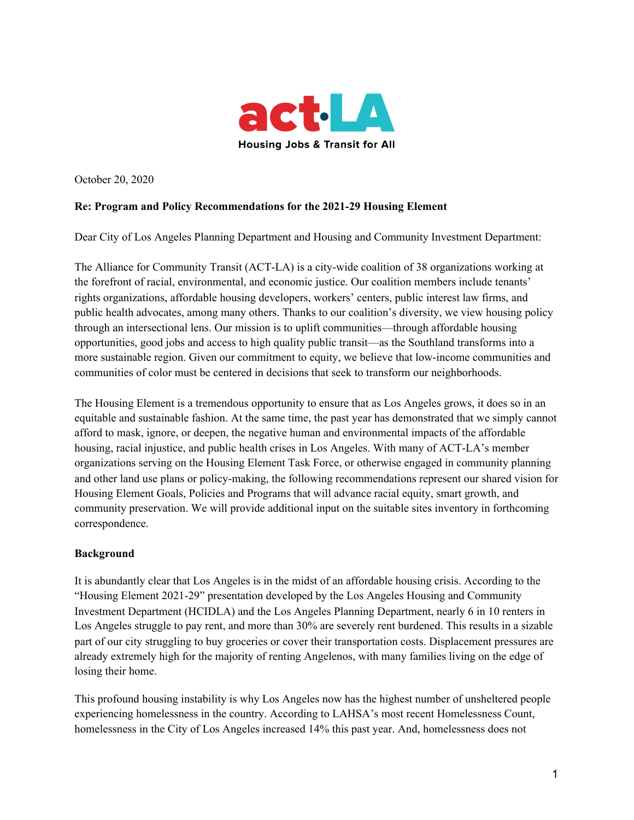

October 20, 2020

### **Re: Program and Policy Recommendations for the 2021-29 Housing Element**

Dear City of Los Angeles Planning Department and Housing and Community Investment Department:

The Alliance for Community Transit (ACT-LA) is a city-wide coalition of 38 organizations working at the forefront of racial, environmental, and economic justice. Our coalition members include tenants' rights organizations, affordable housing developers, workers' centers, public interest law firms, and public health advocates, among many others. Thanks to our coalition's diversity, we view housing policy through an intersectional lens. Our mission is to uplift communities—through affordable housing opportunities, good jobs and access to high quality public transit—as the Southland transforms into a more sustainable region. Given our commitment to equity, we believe that low-income communities and communities of color must be centered in decisions that seek to transform our neighborhoods.

The Housing Element is a tremendous opportunity to ensure that as Los Angeles grows, it does so in an equitable and sustainable fashion. At the same time, the past year has demonstrated that we simply cannot afford to mask, ignore, or deepen, the negative human and environmental impacts of the affordable housing, racial injustice, and public health crises in Los Angeles. With many of ACT-LA's member organizations serving on the Housing Element Task Force, or otherwise engaged in community planning and other land use plans or policy-making, the following recommendations represent our shared vision for Housing Element Goals, Policies and Programs that will advance racial equity, smart growth, and community preservation. We will provide additional input on the suitable sites inventory in forthcoming correspondence.

#### **Background**

It is abundantly clear that Los Angeles is in the midst of an affordable housing crisis. According to the "Housing Element 2021-29" presentation developed by the Los Angeles Housing and Community Investment Department (HCIDLA) and the Los Angeles Planning Department, nearly 6 in 10 renters in Los Angeles struggle to pay rent, and more than 30% are severely rent burdened. This results in a sizable part of our city struggling to buy groceries or cover their transportation costs. Displacement pressures are already extremely high for the majority of renting Angelenos, with many families living on the edge of losing their home.

This profound housing instability is why Los Angeles now has the highest number of unsheltered people experiencing homelessness in the country. According to LAHSA's most recent Homelessness Count, homelessness in the City of Los Angeles increased 14% this past year. And, homelessness does not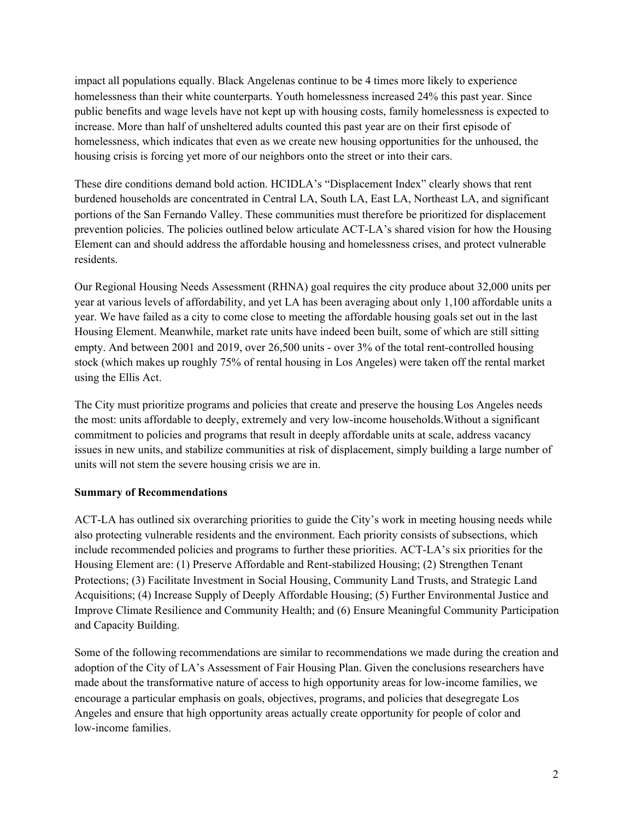impact all populations equally. Black Angelenas continue to be 4 times more likely to experience homelessness than their white counterparts. Youth homelessness increased 24% this past year. Since public benefits and wage levels have not kept up with housing costs, family homelessness is expected to increase. More than half of unsheltered adults counted this past year are on their first episode of homelessness, which indicates that even as we create new housing opportunities for the unhoused, the housing crisis is forcing yet more of our neighbors onto the street or into their cars.

These dire conditions demand bold action. HCIDLA's "Displacement Index" clearly shows that rent burdened households are concentrated in Central LA, South LA, East LA, Northeast LA, and significant portions of the San Fernando Valley. These communities must therefore be prioritized for displacement prevention policies. The policies outlined below articulate ACT-LA's shared vision for how the Housing Element can and should address the affordable housing and homelessness crises, and protect vulnerable residents.

Our Regional Housing Needs Assessment (RHNA) goal requires the city produce about 32,000 units per year at various levels of affordability, and yet LA has been averaging about only 1,100 affordable units a year. We have failed as a city to come close to meeting the affordable housing goals set out in the last Housing Element. Meanwhile, market rate units have indeed been built, some of which are still sitting empty. And between 2001 and 2019, over 26,500 units - over 3% of the total rent-controlled housing stock (which makes up roughly 75% of rental housing in Los Angeles) were taken off the rental market using the Ellis Act.

The City must prioritize programs and policies that create and preserve the housing Los Angeles needs the most: units affordable to deeply, extremely and very low-income households.Without a significant commitment to policies and programs that result in deeply affordable units at scale, address vacancy issues in new units, and stabilize communities at risk of displacement, simply building a large number of units will not stem the severe housing crisis we are in.

### **Summary of Recommendations**

ACT-LA has outlined six overarching priorities to guide the City's work in meeting housing needs while also protecting vulnerable residents and the environment. Each priority consists of subsections, which include recommended policies and programs to further these priorities. ACT-LA's six priorities for the Housing Element are: (1) Preserve Affordable and Rent-stabilized Housing; (2) Strengthen Tenant Protections; (3) Facilitate Investment in Social Housing, Community Land Trusts, and Strategic Land Acquisitions; (4) Increase Supply of Deeply Affordable Housing; (5) Further Environmental Justice and Improve Climate Resilience and Community Health; and (6) Ensure Meaningful Community Participation and Capacity Building.

Some of the following recommendations are similar to recommendations we made during the creation and adoption of the City of LA's Assessment of Fair Housing Plan. Given the conclusions researchers have made about the transformative nature of access to high opportunity areas for low-income families, we encourage a particular emphasis on goals, objectives, programs, and policies that desegregate Los Angeles and ensure that high opportunity areas actually create opportunity for people of color and low-income families.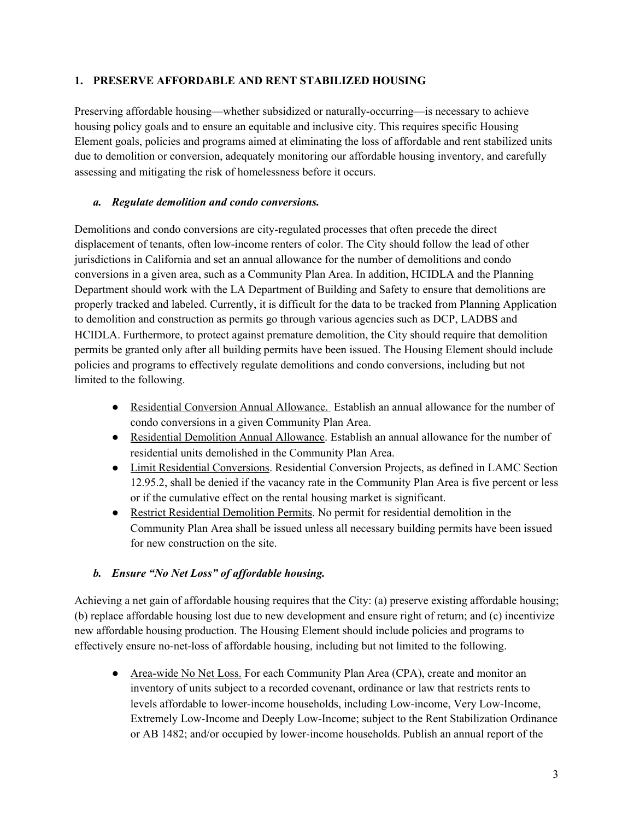### **1. PRESERVE AFFORDABLE AND RENT STABILIZED HOUSING**

Preserving affordable housing—whether subsidized or naturally-occurring—is necessary to achieve housing policy goals and to ensure an equitable and inclusive city. This requires specific Housing Element goals, policies and programs aimed at eliminating the loss of affordable and rent stabilized units due to demolition or conversion, adequately monitoring our affordable housing inventory, and carefully assessing and mitigating the risk of homelessness before it occurs.

### *a. Regulate demolition and condo conversions.*

Demolitions and condo conversions are city-regulated processes that often precede the direct displacement of tenants, often low-income renters of color. The City should follow the lead of other jurisdictions in California and set an annual allowance for the number of demolitions and condo conversions in a given area, such as a Community Plan Area. In addition, HCIDLA and the Planning Department should work with the LA Department of Building and Safety to ensure that demolitions are properly tracked and labeled. Currently, it is difficult for the data to be tracked from Planning Application to demolition and construction as permits go through various agencies such as DCP, LADBS and HCIDLA. Furthermore, to protect against premature demolition, the City should require that demolition permits be granted only after all building permits have been issued. The Housing Element should include policies and programs to effectively regulate demolitions and condo conversions, including but not limited to the following.

- Residential Conversion Annual Allowance. Establish an annual allowance for the number of condo conversions in a given Community Plan Area.
- Residential Demolition Annual Allowance. Establish an annual allowance for the number of residential units demolished in the Community Plan Area.
- Limit Residential Conversions. Residential Conversion Projects, as defined in LAMC Section 12.95.2, shall be denied if the vacancy rate in the Community Plan Area is five percent or less or if the cumulative effect on the rental housing market is significant.
- Restrict Residential Demolition Permits. No permit for residential demolition in the Community Plan Area shall be issued unless all necessary building permits have been issued for new construction on the site.

### *b. Ensure "No Net Loss" of af ordable housing.*

Achieving a net gain of affordable housing requires that the City: (a) preserve existing affordable housing; (b) replace affordable housing lost due to new development and ensure right of return; and (c) incentivize new affordable housing production. The Housing Element should include policies and programs to effectively ensure no-net-loss of affordable housing, including but not limited to the following.

• Area-wide No Net Loss. For each Community Plan Area (CPA), create and monitor an inventory of units subject to a recorded covenant, ordinance or law that restricts rents to levels affordable to lower-income households, including Low-income, Very Low-Income, Extremely Low-Income and Deeply Low-Income; subject to the Rent Stabilization Ordinance or AB 1482; and/or occupied by lower-income households. Publish an annual report of the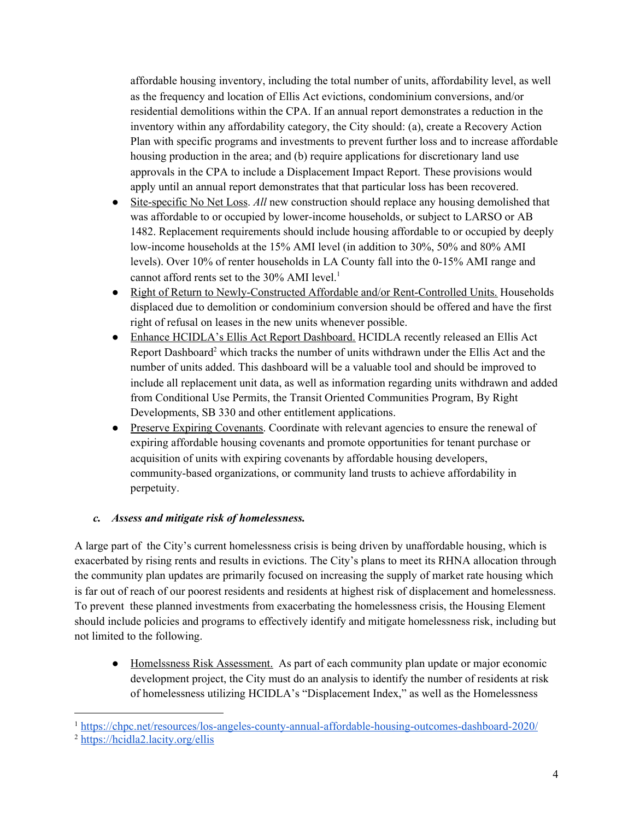affordable housing inventory, including the total number of units, affordability level, as well as the frequency and location of Ellis Act evictions, condominium conversions, and/or residential demolitions within the CPA. If an annual report demonstrates a reduction in the inventory within any affordability category, the City should: (a), create a Recovery Action Plan with specific programs and investments to prevent further loss and to increase affordable housing production in the area; and (b) require applications for discretionary land use approvals in the CPA to include a Displacement Impact Report. These provisions would apply until an annual report demonstrates that that particular loss has been recovered.

- Site-specific No Net Loss. *All* new construction should replace any housing demolished that was affordable to or occupied by lower-income households, or subject to LARSO or AB 1482. Replacement requirements should include housing affordable to or occupied by deeply low-income households at the 15% AMI level (in addition to 30%, 50% and 80% AMI levels). Over 10% of renter households in LA County fall into the 0-15% AMI range and cannot afford rents set to the 30% AMI level. 1
- Right of Return to Newly-Constructed Affordable and/or Rent-Controlled Units. Households displaced due to demolition or condominium conversion should be offered and have the first right of refusal on leases in the new units whenever possible.
- Enhance HCIDLA's Ellis Act Report Dashboard. HCIDLA recently released an Ellis Act Report Dashboard<sup>2</sup> which tracks the number of units withdrawn under the Ellis Act and the number of units added. This dashboard will be a valuable tool and should be improved to include all replacement unit data, as well as information regarding units withdrawn and added from Conditional Use Permits, the Transit Oriented Communities Program, By Right Developments, SB 330 and other entitlement applications.
- Preserve Expiring Covenants. Coordinate with relevant agencies to ensure the renewal of expiring affordable housing covenants and promote opportunities for tenant purchase or acquisition of units with expiring covenants by affordable housing developers, community-based organizations, or community land trusts to achieve affordability in perpetuity.

### *c. Assess and mitigate risk of homelessness.*

A large part of the City's current homelessness crisis is being driven by unaffordable housing, which is exacerbated by rising rents and results in evictions. The City's plans to meet its RHNA allocation through the community plan updates are primarily focused on increasing the supply of market rate housing which is far out of reach of our poorest residents and residents at highest risk of displacement and homelessness. To prevent these planned investments from exacerbating the homelessness crisis, the Housing Element should include policies and programs to effectively identify and mitigate homelessness risk, including but not limited to the following.

● Homelssness Risk Assessment. As part of each community plan update or major economic development project, the City must do an analysis to identify the number of residents at risk of homelessness utilizing HCIDLA's "Displacement Index," as well as the Homelessness

<sup>1</sup> <https://chpc.net/resources/los-angeles-county-annual-affordable-housing-outcomes-dashboard-2020/>

<sup>2</sup> <https://hcidla2.lacity.org/ellis>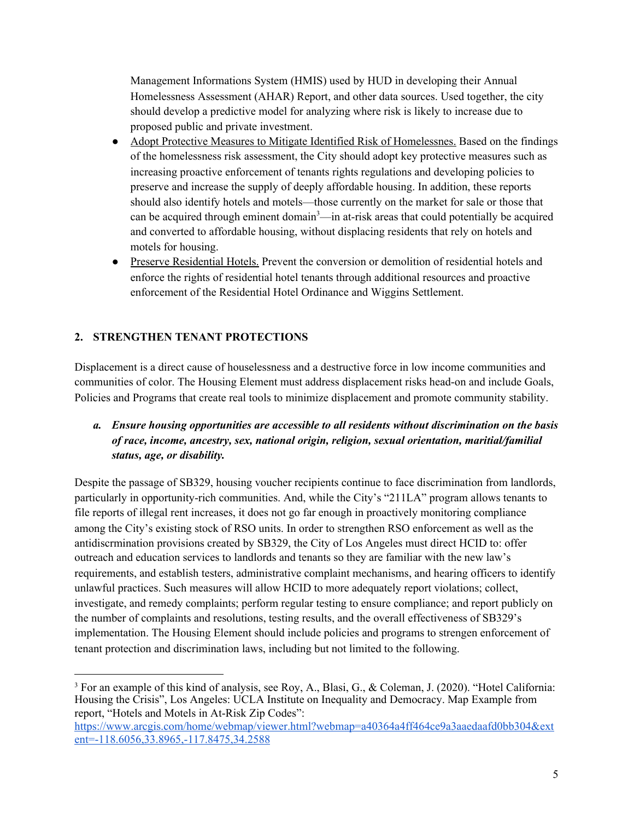Management Informations System (HMIS) used by HUD in developing their Annual Homelessness Assessment (AHAR) Report, and other data sources. Used together, the city should develop a predictive model for analyzing where risk is likely to increase due to proposed public and private investment.

- Adopt Protective Measures to Mitigate Identified Risk of Homelessnes. Based on the findings of the homelessness risk assessment, the City should adopt key protective measures such as increasing proactive enforcement of tenants rights regulations and developing policies to preserve and increase the supply of deeply affordable housing. In addition, these reports should also identify hotels and motels—those currently on the market for sale or those that can be acquired through eminent domain<sup>3</sup>—in at-risk areas that could potentially be acquired and converted to affordable housing, without displacing residents that rely on hotels and motels for housing.
- Preserve Residential Hotels. Prevent the conversion or demolition of residential hotels and enforce the rights of residential hotel tenants through additional resources and proactive enforcement of the Residential Hotel Ordinance and Wiggins Settlement.

# **2. STRENGTHEN TENANT PROTECTIONS**

Displacement is a direct cause of houselessness and a destructive force in low income communities and communities of color. The Housing Element must address displacement risks head-on and include Goals, Policies and Programs that create real tools to minimize displacement and promote community stability.

## *a. Ensure housing opportunities are accessible to all residents without discrimination on the basis of race, income, ancestry, sex, national origin, religion, sexual orientation, maritial/familial status, age, or disability.*

Despite the passage of SB329, housing voucher recipients continue to face discrimination from landlords, particularly in opportunity-rich communities. And, while the City's "211LA" program allows tenants to file reports of illegal rent increases, it does not go far enough in proactively monitoring compliance among the City's existing stock of RSO units. In order to strengthen RSO enforcement as well as the antidiscrmination provisions created by SB329, the City of Los Angeles must direct HCID to: offer outreach and education services to landlords and tenants so they are familiar with the new law's requirements, and establish testers, administrative complaint mechanisms, and hearing officers to identify unlawful practices. Such measures will allow HCID to more adequately report violations; collect, investigate, and remedy complaints; perform regular testing to ensure compliance; and report publicly on the number of complaints and resolutions, testing results, and the overall effectiveness of SB329's implementation. The Housing Element should include policies and programs to strengen enforcement of tenant protection and discrimination laws, including but not limited to the following.

<sup>3</sup> For an example of this kind of analysis, see Roy, A., Blasi, G., & Coleman, J. (2020). "Hotel California: Housing the Crisis", Los Angeles: UCLA Institute on Inequality and Democracy. Map Example from report, "Hotels and Motels in At-Risk Zip Codes":

[https://www.arcgis.com/home/webmap/viewer.html?webmap=a40364a4ff464ce9a3aaedaafd0bb304&ext](https://www.arcgis.com/home/webmap/viewer.html?webmap=a40364a4ff464ce9a3aaedaafd0bb304&extent=-118.6056,33.8965,-117.8475,34.2588) [ent=-118.6056,33.8965,-117.8475,34.2588](https://www.arcgis.com/home/webmap/viewer.html?webmap=a40364a4ff464ce9a3aaedaafd0bb304&extent=-118.6056,33.8965,-117.8475,34.2588)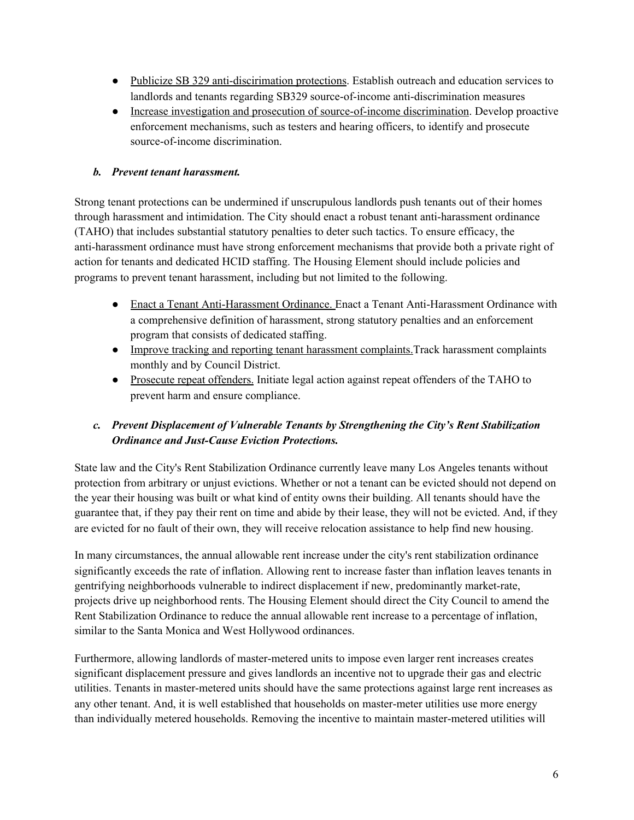- Publicize SB 329 anti-discirimation protections. Establish outreach and education services to landlords and tenants regarding SB329 source-of-income anti-discrimination measures
- Increase investigation and prosecution of source-of-income discrimination. Develop proactive enforcement mechanisms, such as testers and hearing officers, to identify and prosecute source-of-income discrimination.

### *b. Prevent tenant harassment.*

Strong tenant protections can be undermined if unscrupulous landlords push tenants out of their homes through harassment and intimidation. The City should enact a robust tenant anti-harassment ordinance (TAHO) that includes substantial statutory penalties to deter such tactics. To ensure efficacy, the anti-harassment ordinance must have strong enforcement mechanisms that provide both a private right of action for tenants and dedicated HCID staffing. The Housing Element should include policies and programs to prevent tenant harassment, including but not limited to the following.

- Enact a Tenant Anti-Harassment Ordinance. Enact a Tenant Anti-Harassment Ordinance with a comprehensive definition of harassment, strong statutory penalties and an enforcement program that consists of dedicated staffing.
- Improve tracking and reporting tenant harassment complaints.Track harassment complaints monthly and by Council District.
- Prosecute repeat offenders. Initiate legal action against repeat offenders of the TAHO to prevent harm and ensure compliance.

# *c. Prevent Displacement of Vulnerable Tenants by Strengthening the City's Rent Stabilization Ordinance and Just-Cause Eviction Protections.*

State law and the City's Rent Stabilization Ordinance currently leave many Los Angeles tenants without protection from arbitrary or unjust evictions. Whether or not a tenant can be evicted should not depend on the year their housing was built or what kind of entity owns their building. All tenants should have the guarantee that, if they pay their rent on time and abide by their lease, they will not be evicted. And, if they are evicted for no fault of their own, they will receive relocation assistance to help find new housing.

In many circumstances, the annual allowable rent increase under the city's rent stabilization ordinance significantly exceeds the rate of inflation. Allowing rent to increase faster than inflation leaves tenants in gentrifying neighborhoods vulnerable to indirect displacement if new, predominantly market-rate, projects drive up neighborhood rents. The Housing Element should direct the City Council to amend the Rent Stabilization Ordinance to reduce the annual allowable rent increase to a percentage of inflation, similar to the Santa Monica and West Hollywood ordinances.

Furthermore, allowing landlords of master-metered units to impose even larger rent increases creates significant displacement pressure and gives landlords an incentive not to upgrade their gas and electric utilities. Tenants in master-metered units should have the same protections against large rent increases as any other tenant. And, it is well established that households on master-meter utilities use more energy than individually metered households. Removing the incentive to maintain master-metered utilities will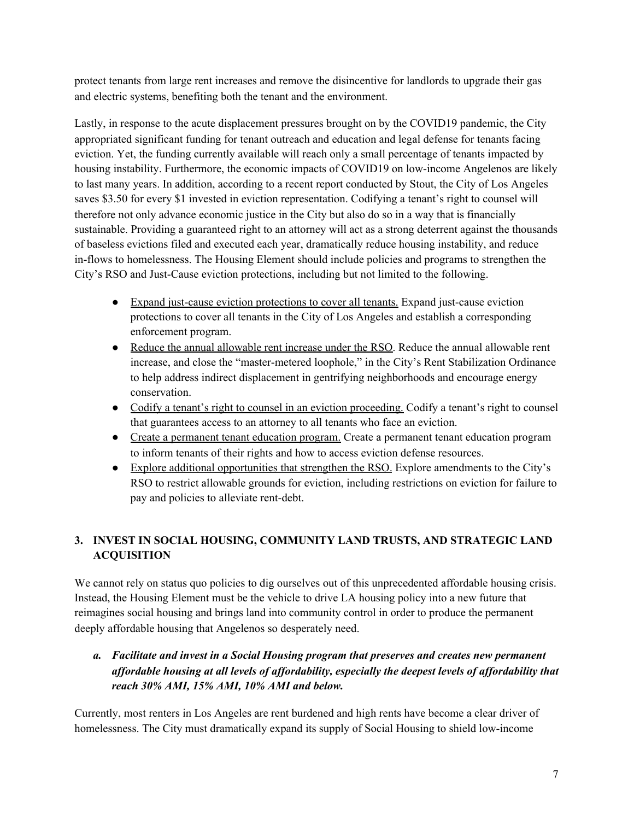protect tenants from large rent increases and remove the disincentive for landlords to upgrade their gas and electric systems, benefiting both the tenant and the environment.

Lastly, in response to the acute displacement pressures brought on by the COVID19 pandemic, the City appropriated significant funding for tenant outreach and education and legal defense for tenants facing eviction. Yet, the funding currently available will reach only a small percentage of tenants impacted by housing instability. Furthermore, the economic impacts of COVID19 on low-income Angelenos are likely to last many years. In addition, according to a recent report conducted by Stout, the City of Los Angeles saves \$3.50 for every \$1 invested in eviction representation. Codifying a tenant's right to counsel will therefore not only advance economic justice in the City but also do so in a way that is financially sustainable. Providing a guaranteed right to an attorney will act as a strong deterrent against the thousands of baseless evictions filed and executed each year, dramatically reduce housing instability, and reduce in-flows to homelessness. The Housing Element should include policies and programs to strengthen the City's RSO and Just-Cause eviction protections, including but not limited to the following.

- Expand just-cause eviction protections to cover all tenants. Expand just-cause eviction protections to cover all tenants in the City of Los Angeles and establish a corresponding enforcement program.
- Reduce the annual allowable rent increase under the RSO. Reduce the annual allowable rent increase, and close the "master-metered loophole," in the City's Rent Stabilization Ordinance to help address indirect displacement in gentrifying neighborhoods and encourage energy conservation.
- Codify a tenant's right to counsel in an eviction proceeding. Codify a tenant's right to counsel that guarantees access to an attorney to all tenants who face an eviction.
- Create a permanent tenant education program. Create a permanent tenant education program to inform tenants of their rights and how to access eviction defense resources.
- Explore additional opportunities that strengthen the RSO. Explore amendments to the City's RSO to restrict allowable grounds for eviction, including restrictions on eviction for failure to pay and policies to alleviate rent-debt.

# **3. INVEST IN SOCIAL HOUSING, COMMUNITY LAND TRUSTS, AND STRATEGIC LAND ACQUISITION**

We cannot rely on status quo policies to dig ourselves out of this unprecedented affordable housing crisis. Instead, the Housing Element must be the vehicle to drive LA housing policy into a new future that reimagines social housing and brings land into community control in order to produce the permanent deeply affordable housing that Angelenos so desperately need.

## *a. Facilitate and invest in a Social Housing program that preserves and creates new permanent af ordable housing at all levels of af ordability, especially the deepest levels of af ordability that reach 30% AMI, 15% AMI, 10% AMI and below.*

Currently, most renters in Los Angeles are rent burdened and high rents have become a clear driver of homelessness. The City must dramatically expand its supply of Social Housing to shield low-income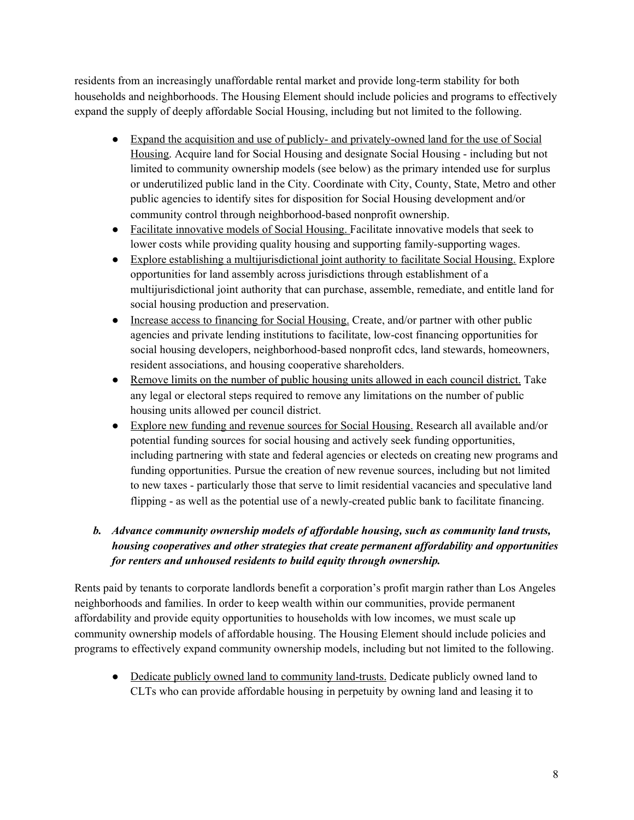residents from an increasingly unaffordable rental market and provide long-term stability for both households and neighborhoods. The Housing Element should include policies and programs to effectively expand the supply of deeply affordable Social Housing, including but not limited to the following.

- Expand the acquisition and use of publicly- and privately-owned land for the use of Social Housing. Acquire land for Social Housing and designate Social Housing - including but not limited to community ownership models (see below) as the primary intended use for surplus or underutilized public land in the City. Coordinate with City, County, State, Metro and other public agencies to identify sites for disposition for Social Housing development and/or community control through neighborhood-based nonprofit ownership.
- Facilitate innovative models of Social Housing. Facilitate innovative models that seek to lower costs while providing quality housing and supporting family-supporting wages.
- Explore establishing a multijurisdictional joint authority to facilitate Social Housing. Explore opportunities for land assembly across jurisdictions through establishment of a multijurisdictional joint authority that can purchase, assemble, remediate, and entitle land for social housing production and preservation.
- Increase access to financing for Social Housing. Create, and/or partner with other public agencies and private lending institutions to facilitate, low-cost financing opportunities for social housing developers, neighborhood-based nonprofit cdcs, land stewards, homeowners, resident associations, and housing cooperative shareholders.
- Remove limits on the number of public housing units allowed in each council district. Take any legal or electoral steps required to remove any limitations on the number of public housing units allowed per council district.
- Explore new funding and revenue sources for Social Housing. Research all available and/or potential funding sources for social housing and actively seek funding opportunities, including partnering with state and federal agencies or electeds on creating new programs and funding opportunities. Pursue the creation of new revenue sources, including but not limited to new taxes - particularly those that serve to limit residential vacancies and speculative land flipping - as well as the potential use of a newly-created public bank to facilitate financing.

## *b. Advance community ownership models of af ordable housing, such as community land trusts, housing cooperatives and other strategies that create permanent af ordability and opportunities for renters and unhoused residents to build equity through ownership.*

Rents paid by tenants to corporate landlords benefit a corporation's profit margin rather than Los Angeles neighborhoods and families. In order to keep wealth within our communities, provide permanent affordability and provide equity opportunities to households with low incomes, we must scale up community ownership models of affordable housing. The Housing Element should include policies and programs to effectively expand community ownership models, including but not limited to the following.

• Dedicate publicly owned land to community land-trusts. Dedicate publicly owned land to CLTs who can provide affordable housing in perpetuity by owning land and leasing it to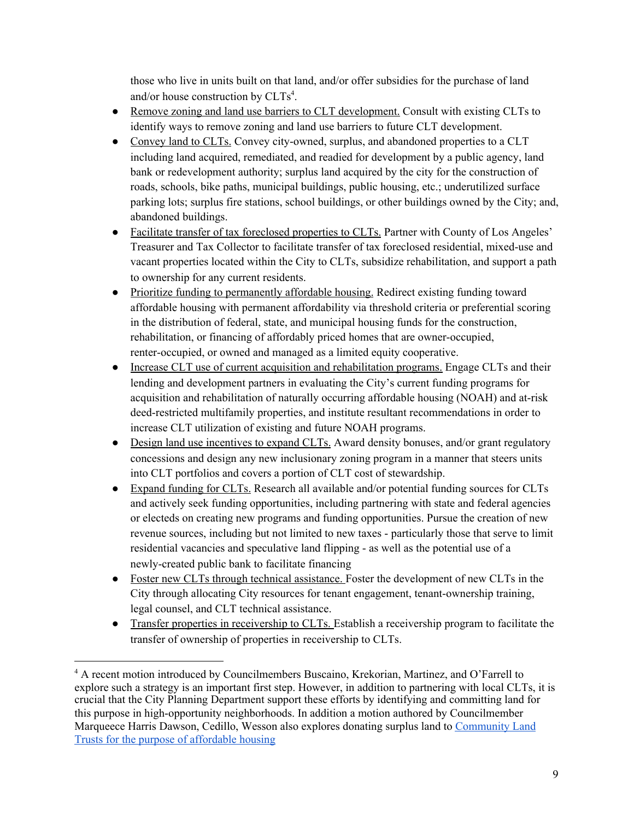those who live in units built on that land, and/or offer subsidies for the purchase of land and/or house construction by CLTs<sup>4</sup>.

- Remove zoning and land use barriers to CLT development. Consult with existing CLTs to identify ways to remove zoning and land use barriers to future CLT development.
- Convey land to CLTs. Convey city-owned, surplus, and abandoned properties to a CLT including land acquired, remediated, and readied for development by a public agency, land bank or redevelopment authority; surplus land acquired by the city for the construction of roads, schools, bike paths, municipal buildings, public housing, etc.; underutilized surface parking lots; surplus fire stations, school buildings, or other buildings owned by the City; and, abandoned buildings.
- Facilitate transfer of tax foreclosed properties to CLTs. Partner with County of Los Angeles' Treasurer and Tax Collector to facilitate transfer of tax foreclosed residential, mixed-use and vacant properties located within the City to CLTs, subsidize rehabilitation, and support a path to ownership for any current residents.
- Prioritize funding to permanently affordable housing. Redirect existing funding toward affordable housing with permanent affordability via threshold criteria or preferential scoring in the distribution of federal, state, and municipal housing funds for the construction, rehabilitation, or financing of affordably priced homes that are owner-occupied, renter-occupied, or owned and managed as a limited equity cooperative.
- Increase CLT use of current acquisition and rehabilitation programs. Engage CLTs and their lending and development partners in evaluating the City's current funding programs for acquisition and rehabilitation of naturally occurring affordable housing (NOAH) and at-risk deed-restricted multifamily properties, and institute resultant recommendations in order to increase CLT utilization of existing and future NOAH programs.
- Design land use incentives to expand CLTs. Award density bonuses, and/or grant regulatory concessions and design any new inclusionary zoning program in a manner that steers units into CLT portfolios and covers a portion of CLT cost of stewardship.
- Expand funding for CLTs. Research all available and/or potential funding sources for CLTs and actively seek funding opportunities, including partnering with state and federal agencies or electeds on creating new programs and funding opportunities. Pursue the creation of new revenue sources, including but not limited to new taxes - particularly those that serve to limit residential vacancies and speculative land flipping - as well as the potential use of a newly-created public bank to facilitate financing
- Foster new CLTs through technical assistance. Foster the development of new CLTs in the City through allocating City resources for tenant engagement, tenant-ownership training, legal counsel, and CLT technical assistance.
- Transfer properties in receivership to CLTs. Establish a receivership program to facilitate the transfer of ownership of properties in receivership to CLTs.

<sup>4</sup> A recent motion introduced by Councilmembers Buscaino, Krekorian, Martinez, and O'Farrell to explore such a strategy is an important first step. However, in addition to partnering with local CLTs, it is crucial that the City Planning Department support these efforts by identifying and committing land for this purpose in high-opportunity neighborhoods. In addition a motion authored by Councilmember Marqueece Harris Dawson, Cedillo, Wesson also explores donating surplus land to [Community](https://cityclerk.lacity.org/lacityclerkconnect/index.cfm?fa=ccfi.viewrecord&cfnumber=20-0713) Land Trusts for the purpose of [affordable](https://cityclerk.lacity.org/lacityclerkconnect/index.cfm?fa=ccfi.viewrecord&cfnumber=20-0713) housing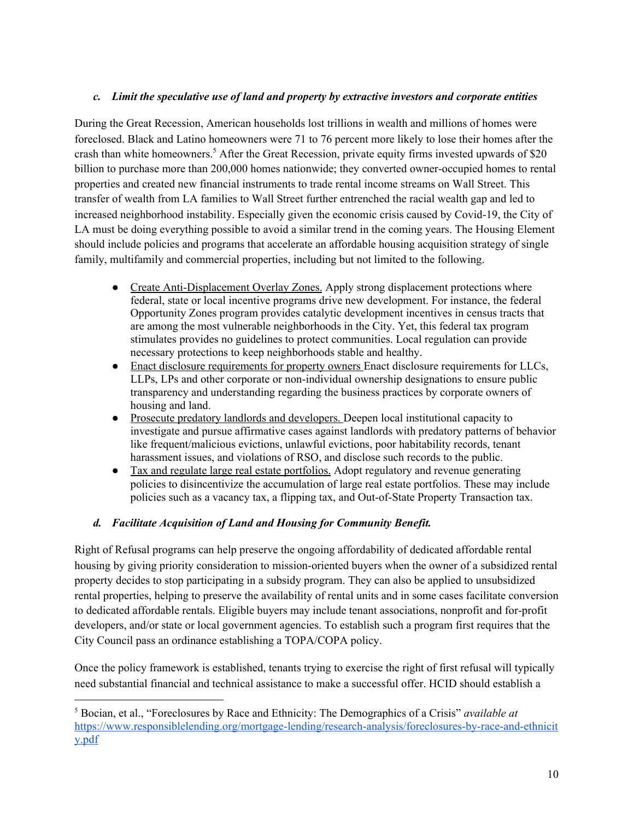### *c. Limit the speculative use of land and property by extractive investors and corporate entities*

During the Great Recession, American households lost trillions in wealth and millions of homes were foreclosed. Black and Latino homeowners were 71 to 76 percent more likely to lose their homes after the crash than white homeowners. <sup>5</sup> After the Great Recession, private equity firms invested upwards of \$20 billion to purchase more than 200,000 homes nationwide; they converted owner-occupied homes to rental properties and created new financial instruments to trade rental income streams on Wall Street. This transfer of wealth from LA families to Wall Street further entrenched the racial wealth gap and led to increased neighborhood instability. Especially given the economic crisis caused by Covid-19, the City of LA must be doing everything possible to avoid a similar trend in the coming years. The Housing Element should include policies and programs that accelerate an affordable housing acquisition strategy of single family, multifamily and commercial properties, including but not limited to the following.

- Create Anti-Displacement Overlay Zones. Apply strong displacement protections where federal, state or local incentive programs drive new development. For instance, the federal Opportunity Zones program provides catalytic development incentives in census tracts that are among the most vulnerable neighborhoods in the City. Yet, this federal tax program stimulates provides no guidelines to protect communities. Local regulation can provide necessary protections to keep neighborhoods stable and healthy.
- Enact disclosure requirements for property owners Enact disclosure requirements for LLCs, LLPs, LPs and other corporate or non-individual ownership designations to ensure public transparency and understanding regarding the business practices by corporate owners of housing and land.
- Prosecute predatory landlords and developers. Deepen local institutional capacity to investigate and pursue affirmative cases against landlords with predatory patterns of behavior like frequent/malicious evictions, unlawful evictions, poor habitability records, tenant harassment issues, and violations of RSO, and disclose such records to the public.
- Tax and regulate large real estate portfolios. Adopt regulatory and revenue generating policies to disincentivize the accumulation of large real estate portfolios. These may include policies such as a vacancy tax, a flipping tax, and Out-of-State Property Transaction tax.

### *d. Facilitate Acquisition of Land and Housing for Community Benefit.*

Right of Refusal programs can help preserve the ongoing affordability of dedicated affordable rental housing by giving priority consideration to mission-oriented buyers when the owner of a subsidized rental property decides to stop participating in a subsidy program. They can also be applied to unsubsidized rental properties, helping to preserve the availability of rental units and in some cases facilitate conversion to dedicated affordable rentals. Eligible buyers may include tenant associations, nonprofit and for-profit developers, and/or state or local government agencies. To establish such a program first requires that the City Council pass an ordinance establishing a TOPA/COPA policy.

Once the policy framework is established, tenants trying to exercise the right of first refusal will typically need substantial financial and technical assistance to make a successful offer. HCID should establish a

<sup>5</sup> Bocian, et al., "Foreclosures by Race and Ethnicity: The Demographics of a Crisis" *available at* [https://www.responsiblelending.org/mortgage-lending/research-analysis/foreclosures-by-race-and-ethnicit](https://www.responsiblelending.org/mortgage-lending/research-analysis/foreclosures-by-race-and-ethnicity.pdf) [y.pdf](https://www.responsiblelending.org/mortgage-lending/research-analysis/foreclosures-by-race-and-ethnicity.pdf)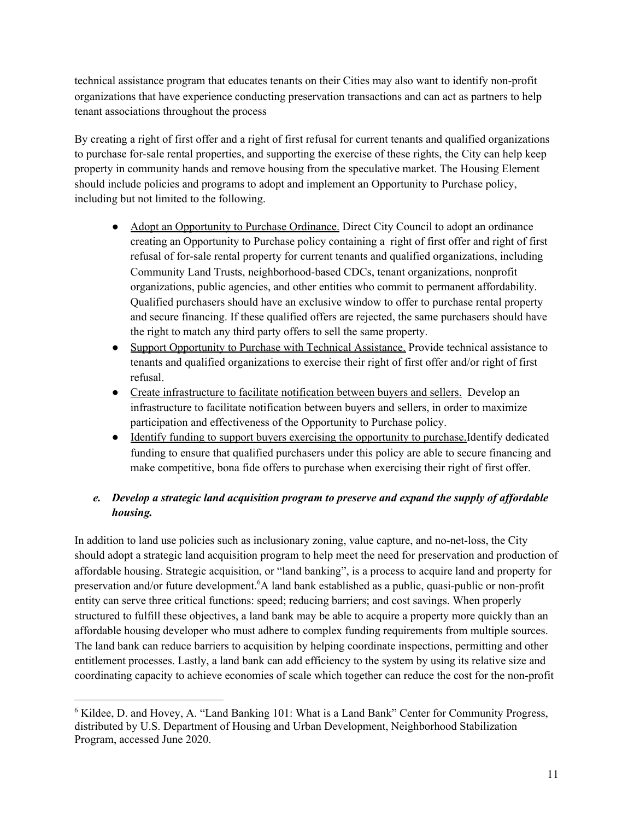technical assistance program that educates tenants on their Cities may also want to identify non-profit organizations that have experience conducting preservation transactions and can act as partners to help tenant associations throughout the process

By creating a right of first offer and a right of first refusal for current tenants and qualified organizations to purchase for-sale rental properties, and supporting the exercise of these rights, the City can help keep property in community hands and remove housing from the speculative market. The Housing Element should include policies and programs to adopt and implement an Opportunity to Purchase policy, including but not limited to the following.

- Adopt an Opportunity to Purchase Ordinance. Direct City Council to adopt an ordinance creating an Opportunity to Purchase policy containing a right of first offer and right of first refusal of for-sale rental property for current tenants and qualified organizations, including Community Land Trusts, neighborhood-based CDCs, tenant organizations, nonprofit organizations, public agencies, and other entities who commit to permanent affordability. Qualified purchasers should have an exclusive window to offer to purchase rental property and secure financing. If these qualified offers are rejected, the same purchasers should have the right to match any third party offers to sell the same property.
- Support Opportunity to Purchase with Technical Assistance. Provide technical assistance to tenants and qualified organizations to exercise their right of first offer and/or right of first refusal.
- Create infrastructure to facilitate notification between buyers and sellers. Develop an infrastructure to facilitate notification between buyers and sellers, in order to maximize participation and effectiveness of the Opportunity to Purchase policy.
- <u>Identify funding to support buyers exercising the opportunity to purchase.</u>Identify dedicated funding to ensure that qualified purchasers under this policy are able to secure financing and make competitive, bona fide offers to purchase when exercising their right of first offer.

## *e. Develop a strategic land acquisition program to preserve and expand the supply of af ordable housing.*

In addition to land use policies such as inclusionary zoning, value capture, and no-net-loss, the City should adopt a strategic land acquisition program to help meet the need for preservation and production of affordable housing. Strategic acquisition, or "land banking", is a process to acquire land and property for preservation and/or future development. <sup>6</sup>A land bank established as a public, quasi-public or non-profit entity can serve three critical functions: speed; reducing barriers; and cost savings. When properly structured to fulfill these objectives, a land bank may be able to acquire a property more quickly than an affordable housing developer who must adhere to complex funding requirements from multiple sources. The land bank can reduce barriers to acquisition by helping coordinate inspections, permitting and other entitlement processes. Lastly, a land bank can add efficiency to the system by using its relative size and coordinating capacity to achieve economies of scale which together can reduce the cost for the non-profit

<sup>6</sup> Kildee, D. and Hovey, A. "Land Banking 101: What is a Land Bank" Center for Community Progress, distributed by U.S. Department of Housing and Urban Development, Neighborhood Stabilization Program, accessed June 2020.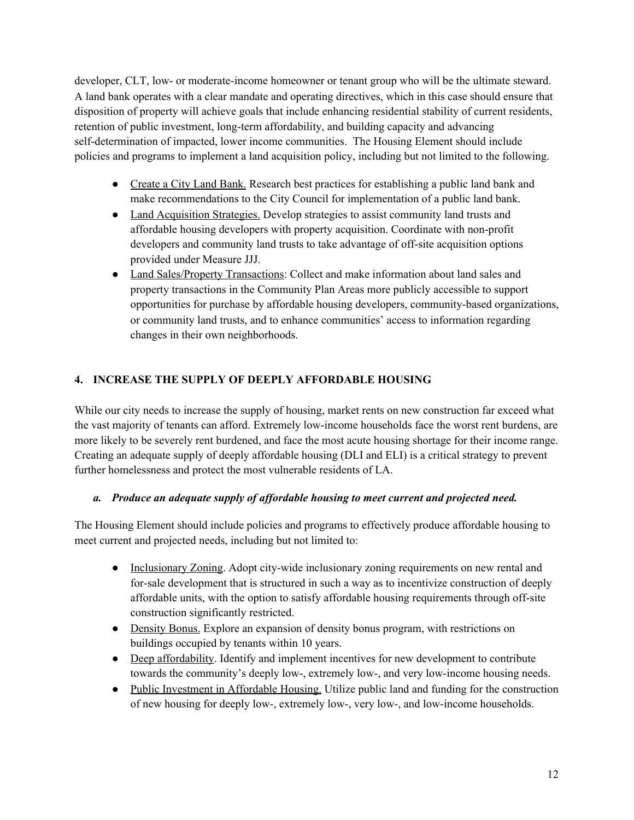developer, CLT, low- or moderate-income homeowner or tenant group who will be the ultimate steward. A land bank operates with a clear mandate and operating directives, which in this case should ensure that disposition of property will achieve goals that include enhancing residential stability of current residents, retention of public investment, long-term affordability, and building capacity and advancing self-determination of impacted, lower income communities. The Housing Element should include policies and programs to implement a land acquisition policy, including but not limited to the following.

- Create a City Land Bank. Research best practices for establishing a public land bank and make recommendations to the City Council for implementation of a public land bank.
- Land Acquisition Strategies. Develop strategies to assist community land trusts and affordable housing developers with property acquisition. Coordinate with non-profit developers and community land trusts to take advantage of off-site acquisition options provided under Measure JJJ.
- Land Sales/Property Transactions: Collect and make information about land sales and property transactions in the Community Plan Areas more publicly accessible to support opportunities for purchase by affordable housing developers, community-based organizations, or community land trusts, and to enhance communities' access to information regarding changes in their own neighborhoods.

## **4. INCREASE THE SUPPLY OF DEEPLY AFFORDABLE HOUSING**

While our city needs to increase the supply of housing, market rents on new construction far exceed what the vast majority of tenants can afford. Extremely low-income households face the worst rent burdens, are more likely to be severely rent burdened, and face the most acute housing shortage for their income range. Creating an adequate supply of deeply affordable housing (DLI and ELI) is a critical strategy to prevent further homelessness and protect the most vulnerable residents of LA.

### *a. Produce an adequate supply of af ordable housing to meet current and projected need.*

The Housing Element should include policies and programs to effectively produce affordable housing to meet current and projected needs, including but not limited to:

- Inclusionary Zoning. Adopt city-wide inclusionary zoning requirements on new rental and for-sale development that is structured in such a way as to incentivize construction of deeply affordable units, with the option to satisfy affordable housing requirements through off-site construction significantly restricted.
- Density Bonus. Explore an expansion of density bonus program, with restrictions on buildings occupied by tenants within 10 years.
- Deep affordability. Identify and implement incentives for new development to contribute towards the community's deeply low-, extremely low-, and very low-income housing needs.
- Public Investment in Affordable Housing. Utilize public land and funding for the construction of new housing for deeply low-, extremely low-, very low-, and low-income households.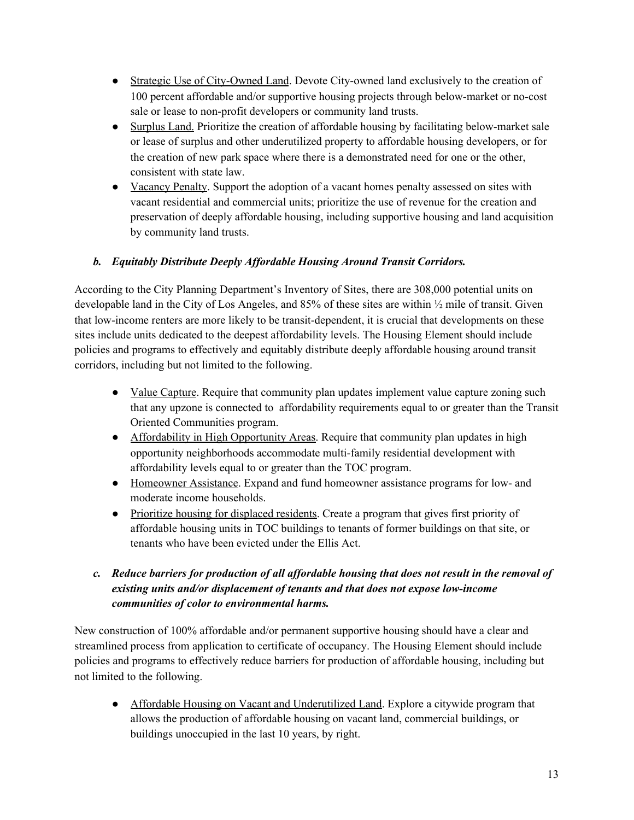- Strategic Use of City-Owned Land. Devote City-owned land exclusively to the creation of 100 percent affordable and/or supportive housing projects through below-market or no-cost sale or lease to non-profit developers or community land trusts.
- Surplus Land. Prioritize the creation of affordable housing by facilitating below-market sale or lease of surplus and other underutilized property to affordable housing developers, or for the creation of new park space where there is a demonstrated need for one or the other, consistent with state law.
- Vacancy Penalty. Support the adoption of a vacant homes penalty assessed on sites with vacant residential and commercial units; prioritize the use of revenue for the creation and preservation of deeply affordable housing, including supportive housing and land acquisition by community land trusts.

## *b. Equitably Distribute Deeply Af ordable Housing Around Transit Corridors.*

According to the City Planning Department's Inventory of Sites, there are 308,000 potential units on developable land in the City of Los Angeles, and 85% of these sites are within ½ mile of transit. Given that low-income renters are more likely to be transit-dependent, it is crucial that developments on these sites include units dedicated to the deepest affordability levels. The Housing Element should include policies and programs to effectively and equitably distribute deeply affordable housing around transit corridors, including but not limited to the following.

- Value Capture. Require that community plan updates implement value capture zoning such that any upzone is connected to affordability requirements equal to or greater than the Transit Oriented Communities program.
- Affordability in High Opportunity Areas. Require that community plan updates in high opportunity neighborhoods accommodate multi-family residential development with affordability levels equal to or greater than the TOC program.
- Homeowner Assistance. Expand and fund homeowner assistance programs for low- and moderate income households.
- Prioritize housing for displaced residents. Create a program that gives first priority of affordable housing units in TOC buildings to tenants of former buildings on that site, or tenants who have been evicted under the Ellis Act.

## *c. Reduce barriers for production of all af ordable housing that does not result in the removal of existing units and/or displacement of tenants and that does not expose low-income communities of color to environmental harms.*

New construction of 100% affordable and/or permanent supportive housing should have a clear and streamlined process from application to certificate of occupancy. The Housing Element should include policies and programs to effectively reduce barriers for production of affordable housing, including but not limited to the following.

• Affordable Housing on Vacant and Underutilized Land. Explore a citywide program that allows the production of affordable housing on vacant land, commercial buildings, or buildings unoccupied in the last 10 years, by right.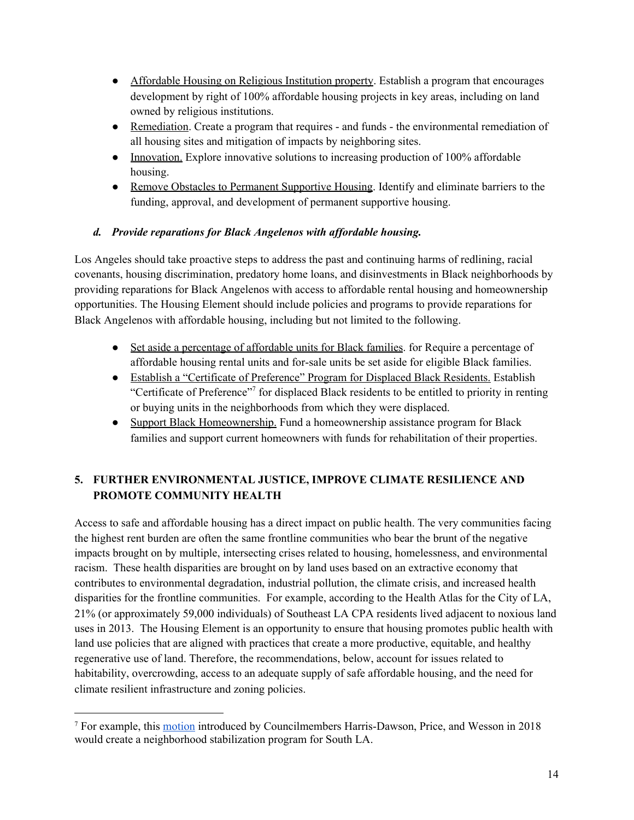- Affordable Housing on Religious Institution property. Establish a program that encourages development by right of 100% affordable housing projects in key areas, including on land owned by religious institutions.
- Remediation. Create a program that requires and funds the environmental remediation of all housing sites and mitigation of impacts by neighboring sites.
- Innovation. Explore innovative solutions to increasing production of 100% affordable housing.
- Remove Obstacles to Permanent Supportive Housing. Identify and eliminate barriers to the funding, approval, and development of permanent supportive housing.

### *d. Provide reparations for Black Angelenos with af ordable housing.*

Los Angeles should take proactive steps to address the past and continuing harms of redlining, racial covenants, housing discrimination, predatory home loans, and disinvestments in Black neighborhoods by providing reparations for Black Angelenos with access to affordable rental housing and homeownership opportunities. The Housing Element should include policies and programs to provide reparations for Black Angelenos with affordable housing, including but not limited to the following.

- Set aside a percentage of affordable units for Black families. for Require a percentage of affordable housing rental units and for-sale units be set aside for eligible Black families.
- Establish a "Certificate of Preference" Program for Displaced Black Residents. Establish "Certificate of Preference" 7 for displaced Black residents to be entitled to priority in renting or buying units in the neighborhoods from which they were displaced.
- Support Black Homeownership. Fund a homeownership assistance program for Black families and support current homeowners with funds for rehabilitation of their properties.

# **5. FURTHER ENVIRONMENTAL JUSTICE, IMPROVE CLIMATE RESILIENCE AND PROMOTE COMMUNITY HEALTH**

Access to safe and affordable housing has a direct impact on public health. The very communities facing the highest rent burden are often the same frontline communities who bear the brunt of the negative impacts brought on by multiple, intersecting crises related to housing, homelessness, and environmental racism. These health disparities are brought on by land uses based on an extractive economy that contributes to environmental degradation, industrial pollution, the climate crisis, and increased health disparities for the frontline communities. For example, according to the Health Atlas for the City of LA, 21% (or approximately 59,000 individuals) of Southeast LA CPA residents lived adjacent to noxious land uses in 2013. The Housing Element is an opportunity to ensure that housing promotes public health with land use policies that are aligned with practices that create a more productive, equitable, and healthy regenerative use of land. Therefore, the recommendations, below, account for issues related to habitability, overcrowding, access to an adequate supply of safe affordable housing, and the need for climate resilient infrastructure and zoning policies.

<sup>7</sup> For example, this [motion](https://clkrep.lacity.org/onlinedocs/2018/18-0159_mot_02-28-2018.pdf) introduced by Councilmembers Harris-Dawson, Price, and Wesson in 2018 would create a neighborhood stabilization program for South LA.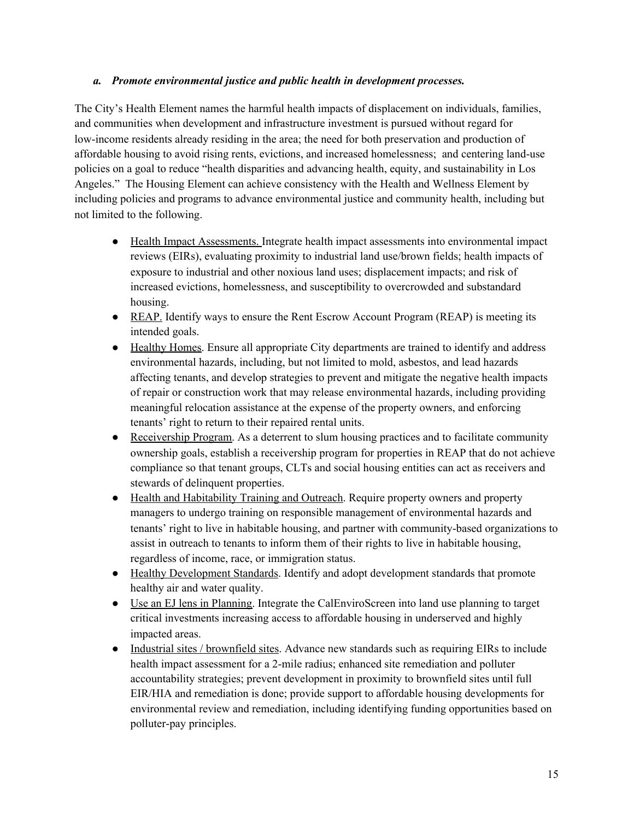#### *a. Promote environmental justice and public health in development processes.*

The City's Health Element names the harmful health impacts of displacement on individuals, families, and communities when development and infrastructure investment is pursued without regard for low-income residents already residing in the area; the need for both preservation and production of affordable housing to avoid rising rents, evictions, and increased homelessness; and centering land-use policies on a goal to reduce "health disparities and advancing health, equity, and sustainability in Los Angeles." The Housing Element can achieve consistency with the Health and Wellness Element by including policies and programs to advance environmental justice and community health, including but not limited to the following.

- Health Impact Assessments. Integrate health impact assessments into environmental impact reviews (EIRs), evaluating proximity to industrial land use/brown fields; health impacts of exposure to industrial and other noxious land uses; displacement impacts; and risk of increased evictions, homelessness, and susceptibility to overcrowded and substandard housing.
- REAP. Identify ways to ensure the Rent Escrow Account Program (REAP) is meeting its intended goals.
- Healthy Homes. Ensure all appropriate City departments are trained to identify and address environmental hazards, including, but not limited to mold, asbestos, and lead hazards affecting tenants, and develop strategies to prevent and mitigate the negative health impacts of repair or construction work that may release environmental hazards, including providing meaningful relocation assistance at the expense of the property owners, and enforcing tenants' right to return to their repaired rental units.
- Receivership Program. As a deterrent to slum housing practices and to facilitate community ownership goals, establish a receivership program for properties in REAP that do not achieve compliance so that tenant groups, CLTs and social housing entities can act as receivers and stewards of delinquent properties.
- Health and Habitability Training and Outreach. Require property owners and property managers to undergo training on responsible management of environmental hazards and tenants' right to live in habitable housing, and partner with community-based organizations to assist in outreach to tenants to inform them of their rights to live in habitable housing, regardless of income, race, or immigration status.
- Healthy Development Standards. Identify and adopt development standards that promote healthy air and water quality.
- Use an EJ lens in Planning. Integrate the CalEnviroScreen into land use planning to target critical investments increasing access to affordable housing in underserved and highly impacted areas.
- Industrial sites / brownfield sites. Advance new standards such as requiring EIRs to include health impact assessment for a 2-mile radius; enhanced site remediation and polluter accountability strategies; prevent development in proximity to brownfield sites until full EIR/HIA and remediation is done; provide support to affordable housing developments for environmental review and remediation, including identifying funding opportunities based on polluter-pay principles.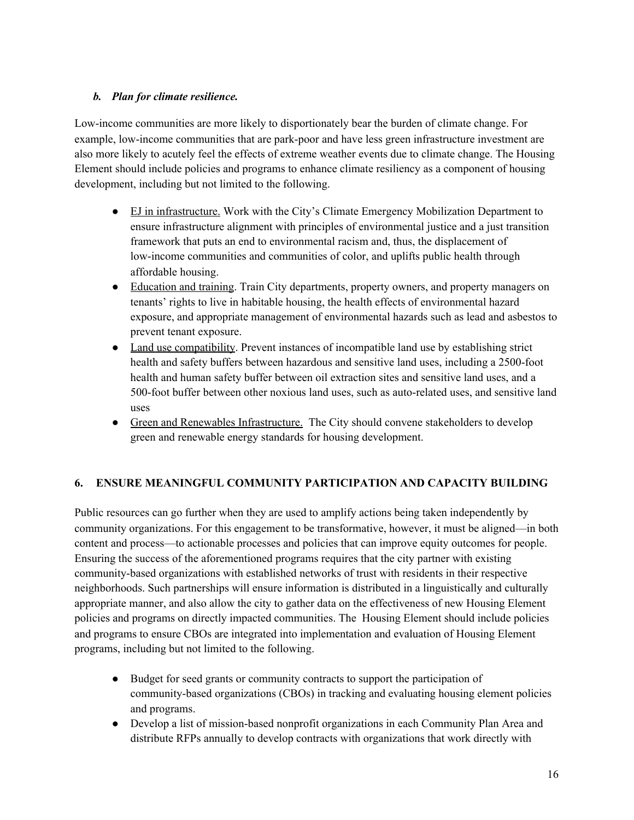### *b. Plan for climate resilience.*

Low-income communities are more likely to disportionately bear the burden of climate change. For example, low-income communities that are park-poor and have less green infrastructure investment are also more likely to acutely feel the effects of extreme weather events due to climate change. The Housing Element should include policies and programs to enhance climate resiliency as a component of housing development, including but not limited to the following.

- EJ in infrastructure. Work with the City's Climate Emergency Mobilization Department to ensure infrastructure alignment with principles of environmental justice and a just transition framework that puts an end to environmental racism and, thus, the displacement of low-income communities and communities of color, and uplifts public health through affordable housing.
- Education and training. Train City departments, property owners, and property managers on tenants' rights to live in habitable housing, the health effects of environmental hazard exposure, and appropriate management of environmental hazards such as lead and asbestos to prevent tenant exposure.
- Land use compatibility. Prevent instances of incompatible land use by establishing strict health and safety buffers between hazardous and sensitive land uses, including a 2500-foot health and human safety buffer between oil extraction sites and sensitive land uses, and a 500-foot buffer between other noxious land uses, such as auto-related uses, and sensitive land uses
- Green and Renewables Infrastructure. The City should convene stakeholders to develop green and renewable energy standards for housing development.

### **6. ENSURE MEANINGFUL COMMUNITY PARTICIPATION AND CAPACITY BUILDING**

Public resources can go further when they are used to amplify actions being taken independently by community organizations. For this engagement to be transformative, however, it must be aligned—in both content and process—to actionable processes and policies that can improve equity outcomes for people. Ensuring the success of the aforementioned programs requires that the city partner with existing community-based organizations with established networks of trust with residents in their respective neighborhoods. Such partnerships will ensure information is distributed in a linguistically and culturally appropriate manner, and also allow the city to gather data on the effectiveness of new Housing Element policies and programs on directly impacted communities. The Housing Element should include policies and programs to ensure CBOs are integrated into implementation and evaluation of Housing Element programs, including but not limited to the following.

- Budget for seed grants or community contracts to support the participation of community-based organizations (CBOs) in tracking and evaluating housing element policies and programs.
- Develop a list of mission-based nonprofit organizations in each Community Plan Area and distribute RFPs annually to develop contracts with organizations that work directly with